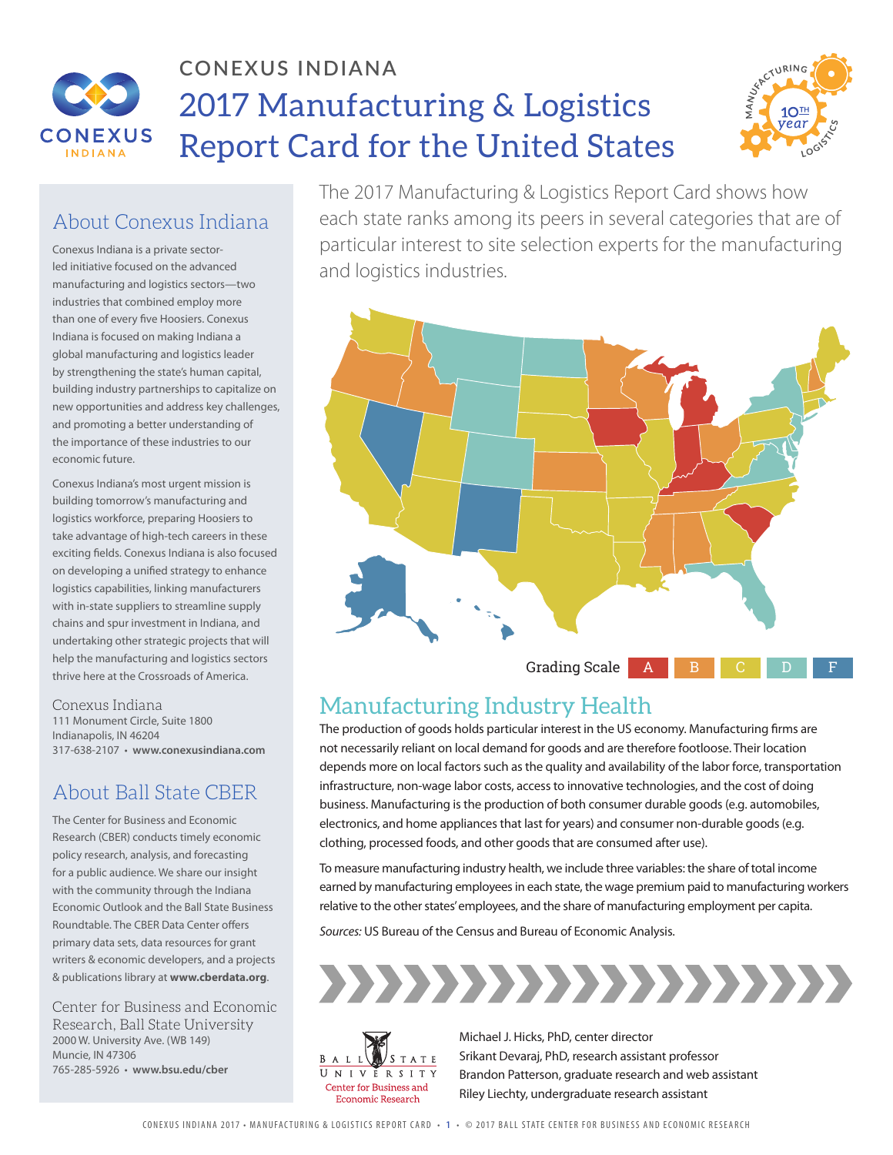

## **CONEXUS INDIANA** 2017 Manufacturing & Logistics Report Card for the United States



#### About Conexus Indiana

Conexus Indiana is a private sectorled initiative focused on the advanced manufacturing and logistics sectors—two industries that combined employ more than one of every five Hoosiers. Conexus Indiana is focused on making Indiana a global manufacturing and logistics leader by strengthening the state's human capital, building industry partnerships to capitalize on new opportunities and address key challenges, and promoting a better understanding of the importance of these industries to our economic future.

Conexus Indiana's most urgent mission is building tomorrow's manufacturing and logistics workforce, preparing Hoosiers to take advantage of high-tech careers in these exciting fields. Conexus Indiana is also focused on developing a unified strategy to enhance logistics capabilities, linking manufacturers with in-state suppliers to streamline supply chains and spur investment in Indiana, and undertaking other strategic projects that will help the manufacturing and logistics sectors thrive here at the Crossroads of America.

#### Conexus Indiana

111 Monument Circle, Suite 1800 Indianapolis, IN 46204 317-638-2107 • **www.conexusindiana.com**

#### About Ball State CBER

The Center for Business and Economic Research (CBER) conducts timely economic policy research, analysis, and forecasting for a public audience. We share our insight with the community through the Indiana Economic Outlook and the Ball State Business Roundtable. The CBER Data Center offers primary data sets, data resources for grant writers & economic developers, and a projects & publications library at **www.cberdata.org**.

Center for Business and Economic Research, Ball State University 2000 W. University Ave. (WB 149) Muncie, IN 47306 765-285-5926 • **www.bsu.edu/cber**

The 2017 Manufacturing & Logistics Report Card shows how each state ranks among its peers in several categories that are of particular interest to site selection experts for the manufacturing and logistics industries.



## Manufacturing Industry Health

The production of goods holds particular interest in the US economy. Manufacturing firms are not necessarily reliant on local demand for goods and are therefore footloose. Their location depends more on local factors such as the quality and availability of the labor force, transportation infrastructure, non-wage labor costs, access to innovative technologies, and the cost of doing business. Manufacturing is the production of both consumer durable goods (e.g. automobiles, electronics, and home appliances that last for years) and consumer non-durable goods (e.g. clothing, processed foods, and other goods that are consumed after use).

To measure manufacturing industry health, we include three variables: the share of total income earned by manufacturing employees in each state, the wage premium paid to manufacturing workers relative to the other states' employees, and the share of manufacturing employment per capita.

*Sources:* US Bureau of the Census and Bureau of Economic Analysis.





Michael J. Hicks, PhD, center director Srikant Devaraj, PhD, research assistant professor Brandon Patterson, graduate research and web assistant Riley Liechty, undergraduate research assistant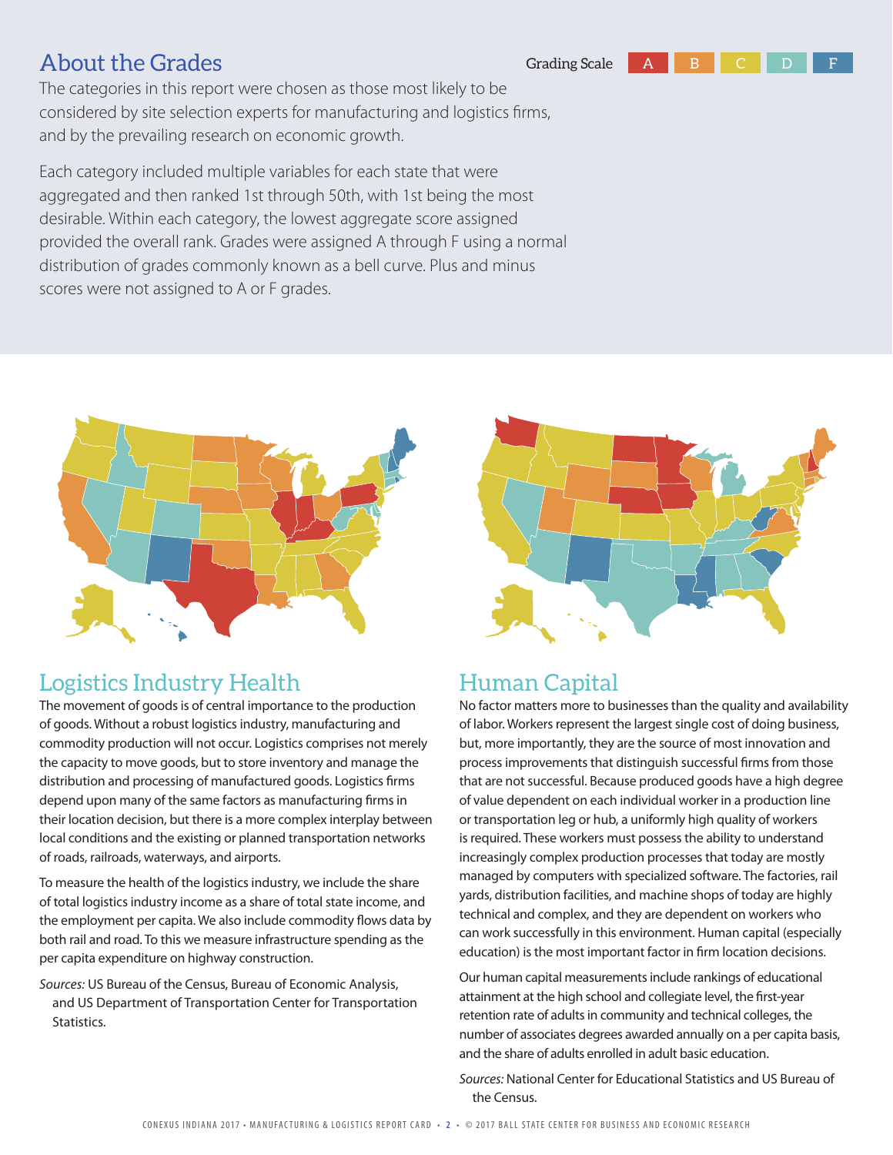

The categories in this report were chosen as those most likely to be considered by site selection experts for manufacturing and logistics firms, and by the prevailing research on economic growth.

Each category included multiple variables for each state that were aggregated and then ranked 1st through 50th, with 1st being the most desirable. Within each category, the lowest aggregate score assigned provided the overall rank. Grades were assigned A through F using a normal distribution of grades commonly known as a bell curve. Plus and minus scores were not assigned to A or F grades.



#### Logistics Industry Health

The movement of goods is of central importance to the production of goods. Without a robust logistics industry, manufacturing and commodity production will not occur. Logistics comprises not merely the capacity to move goods, but to store inventory and manage the distribution and processing of manufactured goods. Logistics firms depend upon many of the same factors as manufacturing firms in their location decision, but there is a more complex interplay between local conditions and the existing or planned transportation networks of roads, railroads, waterways, and airports.

To measure the health of the logistics industry, we include the share of total logistics industry income as a share of total state income, and the employment per capita. We also include commodity flows data by both rail and road. To this we measure infrastructure spending as the per capita expenditure on highway construction.

*Sources:* US Bureau of the Census, Bureau of Economic Analysis, and US Department of Transportation Center for Transportation Statistics.



### Human Capital

No factor matters more to businesses than the quality and availability of labor. Workers represent the largest single cost of doing business, but, more importantly, they are the source of most innovation and process improvements that distinguish successful firms from those that are not successful. Because produced goods have a high degree of value dependent on each individual worker in a production line or transportation leg or hub, a uniformly high quality of workers is required. These workers must possess the ability to understand increasingly complex production processes that today are mostly managed by computers with specialized software. The factories, rail yards, distribution facilities, and machine shops of today are highly technical and complex, and they are dependent on workers who can work successfully in this environment. Human capital (especially education) is the most important factor in firm location decisions.

Our human capital measurements include rankings of educational attainment at the high school and collegiate level, the first-year retention rate of adults in community and technical colleges, the number of associates degrees awarded annually on a per capita basis, and the share of adults enrolled in adult basic education.

*Sources:* National Center for Educational Statistics and US Bureau of the Census.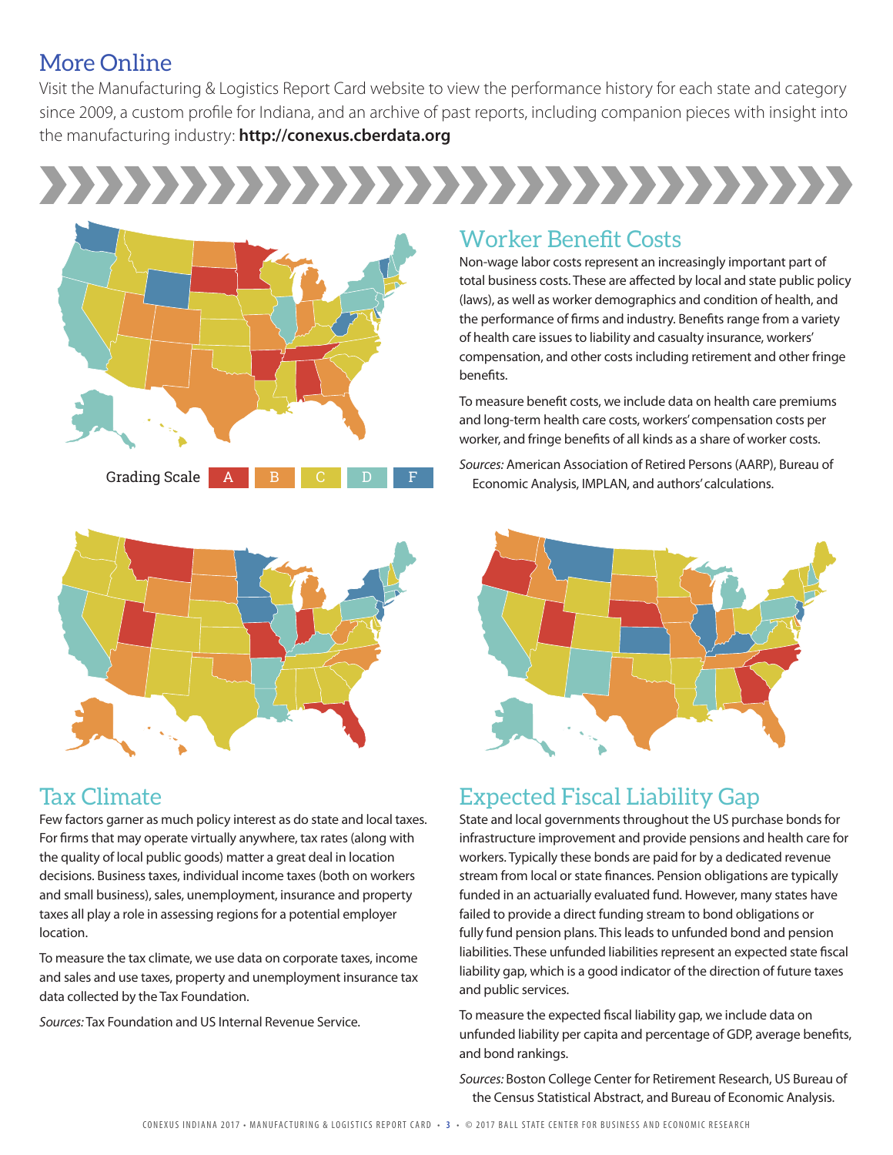#### More Online

Visit the Manufacturing & Logistics Report Card website to view the performance history for each state and category since 2009, a custom profile for Indiana, and an archive of past reports, including companion pieces with insight into the manufacturing industry: **http://conexus.cberdata.org**

# ,,,,,,,,,,,,,,,,,,,,,,,,,,,,,,,,





#### Tax Climate

Few factors garner as much policy interest as do state and local taxes. For firms that may operate virtually anywhere, tax rates (along with the quality of local public goods) matter a great deal in location decisions. Business taxes, individual income taxes (both on workers and small business), sales, unemployment, insurance and property taxes all play a role in assessing regions for a potential employer location.

To measure the tax climate, we use data on corporate taxes, income and sales and use taxes, property and unemployment insurance tax data collected by the Tax Foundation.

*Sources:* Tax Foundation and US Internal Revenue Service.

#### Worker Benefit Costs

Non-wage labor costs represent an increasingly important part of total business costs. These are affected by local and state public policy (laws), as well as worker demographics and condition of health, and the performance of firms and industry. Benefits range from a variety of health care issues to liability and casualty insurance, workers' compensation, and other costs including retirement and other fringe benefits.

To measure benefit costs, we include data on health care premiums and long-term health care costs, workers' compensation costs per worker, and fringe benefits of all kinds as a share of worker costs.

*Sources:* American Association of Retired Persons (AARP), Bureau of Economic Analysis, IMPLAN, and authors' calculations.



#### Expected Fiscal Liability Gap

State and local governments throughout the US purchase bonds for infrastructure improvement and provide pensions and health care for workers. Typically these bonds are paid for by a dedicated revenue stream from local or state finances. Pension obligations are typically funded in an actuarially evaluated fund. However, many states have failed to provide a direct funding stream to bond obligations or fully fund pension plans. This leads to unfunded bond and pension liabilities. These unfunded liabilities represent an expected state fiscal liability gap, which is a good indicator of the direction of future taxes and public services.

To measure the expected fiscal liability gap, we include data on unfunded liability per capita and percentage of GDP, average benefits, and bond rankings.

*Sources:* Boston College Center for Retirement Research, US Bureau of the Census Statistical Abstract, and Bureau of Economic Analysis.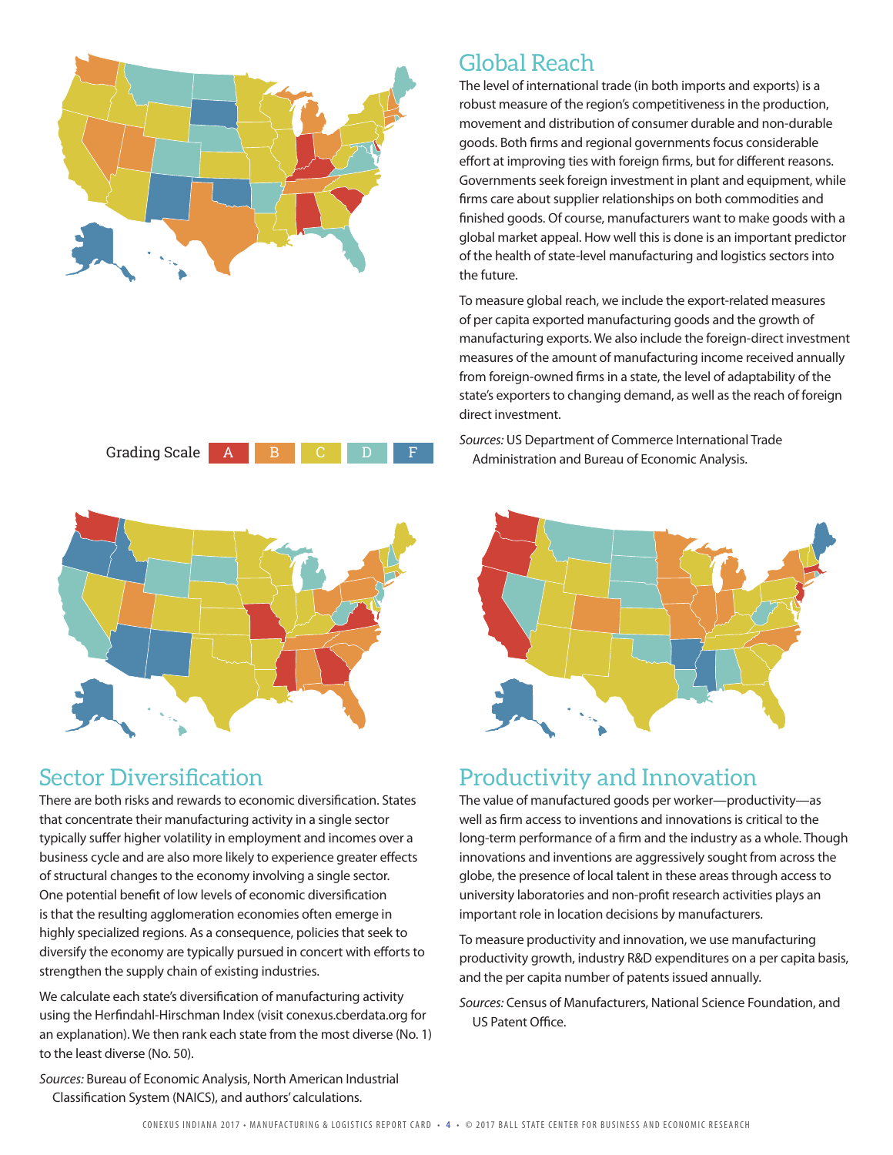

#### Global Reach

The level of international trade (in both imports and exports) is a robust measure of the region's competitiveness in the production, movement and distribution of consumer durable and non-durable goods. Both firms and regional governments focus considerable effort at improving ties with foreign firms, but for different reasons. Governments seek foreign investment in plant and equipment, while firms care about supplier relationships on both commodities and finished goods. Of course, manufacturers want to make goods with a global market appeal. How well this is done is an important predictor of the health of state-level manufacturing and logistics sectors into the future.

To measure global reach, we include the export-related measures of per capita exported manufacturing goods and the growth of manufacturing exports. We also include the foreign-direct investment measures of the amount of manufacturing income received annually from foreign-owned firms in a state, the level of adaptability of the state's exporters to changing demand, as well as the reach of foreign direct investment.

*Sources:* US Department of Commerce International Trade Administration and Bureau of Economic Analysis.



#### Productivity and Innovation

The value of manufactured goods per worker—productivity—as well as firm access to inventions and innovations is critical to the long-term performance of a firm and the industry as a whole. Though innovations and inventions are aggressively sought from across the globe, the presence of local talent in these areas through access to university laboratories and non-profit research activities plays an important role in location decisions by manufacturers.

To measure productivity and innovation, we use manufacturing productivity growth, industry R&D expenditures on a per capita basis, and the per capita number of patents issued annually.

*Sources:* Census of Manufacturers, National Science Foundation, and US Patent Office.





### Sector Diversification

There are both risks and rewards to economic diversification. States that concentrate their manufacturing activity in a single sector typically suffer higher volatility in employment and incomes over a business cycle and are also more likely to experience greater effects of structural changes to the economy involving a single sector. One potential benefit of low levels of economic diversification is that the resulting agglomeration economies often emerge in highly specialized regions. As a consequence, policies that seek to diversify the economy are typically pursued in concert with efforts to strengthen the supply chain of existing industries.

We calculate each state's diversification of manufacturing activity using the Herfindahl-Hirschman Index (visit conexus.cberdata.org for an explanation). We then rank each state from the most diverse (No. 1) to the least diverse (No. 50).

*Sources:* Bureau of Economic Analysis, North American Industrial Classification System (NAICS), and authors' calculations.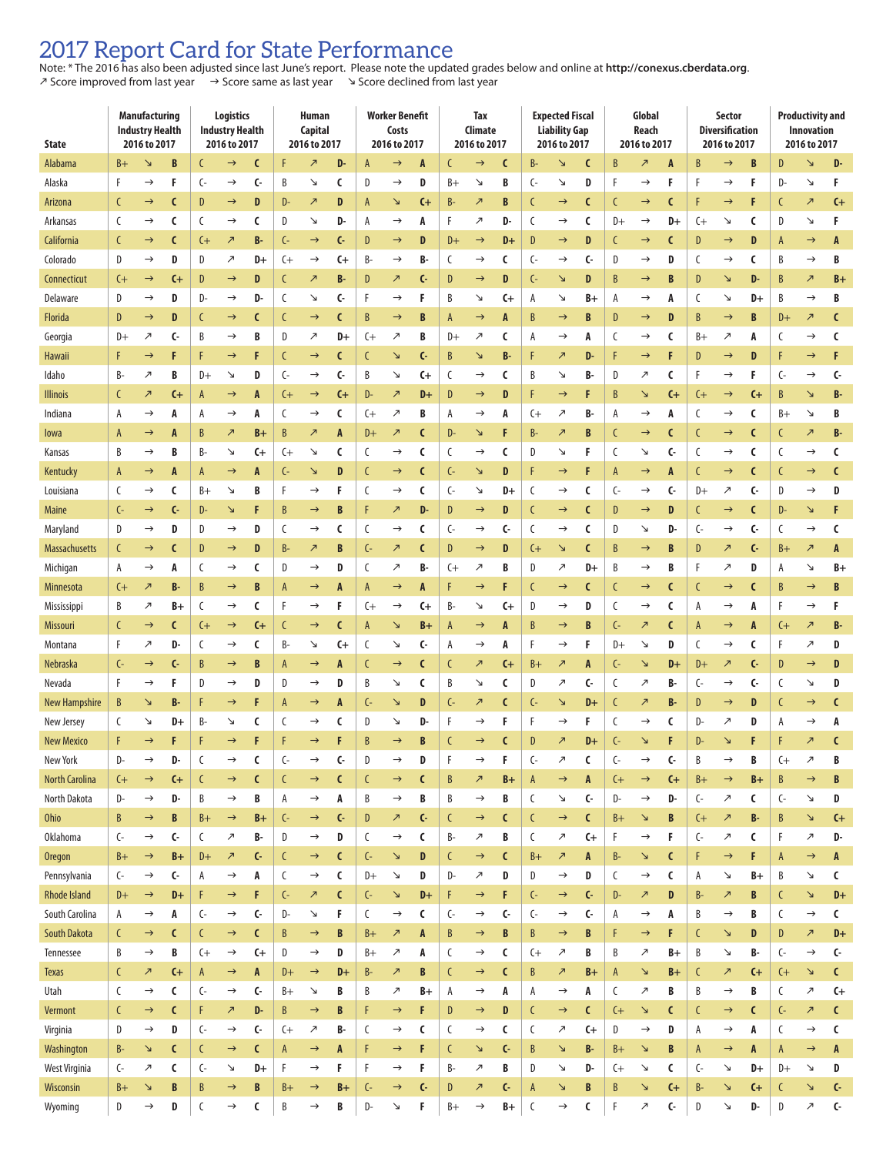#### 2017 Report Card for State Performance

Note: \* The 2016 has also been adjusted since last June's report. Please note the updated grades below and online at **http://conexus.cberdata.org**.  $\lambda$  Score improved from last year  $\rightarrow$  Score same as last year  $\rightarrow$  Score declined from last year

| <b>State</b>          | <b>Manufacturing</b><br><b>Industry Health</b><br>2016 to 2017 |                          |              | Logistics<br><b>Industry Health</b><br>2016 to 2017 |                          |                        | Human<br>Capital<br>2016 to 2017 |                                |              | <b>Worker Benefit</b><br>Costs<br>2016 to 2017 |                            |              | <b>Tax</b><br>Climate<br>2016 to 2017 |                          |                  | <b>Expected Fiscal</b><br><b>Liability Gap</b><br>2016 to 2017 |                          |                                    | Global<br>Reach<br>2016 to 2017 |                          |                         | Sector<br><b>Diversification</b><br>2016 to 2017 |                          |              | <b>Productivity and</b><br><b>Innovation</b><br>2016 to 2017 |                          |              |
|-----------------------|----------------------------------------------------------------|--------------------------|--------------|-----------------------------------------------------|--------------------------|------------------------|----------------------------------|--------------------------------|--------------|------------------------------------------------|----------------------------|--------------|---------------------------------------|--------------------------|------------------|----------------------------------------------------------------|--------------------------|------------------------------------|---------------------------------|--------------------------|-------------------------|--------------------------------------------------|--------------------------|--------------|--------------------------------------------------------------|--------------------------|--------------|
| Alabama               | $B+$                                                           | B<br>N                   |              | C<br>$\rightarrow$                                  |                          | C                      | F                                | $\overline{\phantom{a}}$<br>D- |              | A<br>A<br>$\rightarrow$                        |                            |              | C<br>C<br>$\rightarrow$               |                          | $B -$            | C<br>N                                                         |                          | B<br>$\overline{\phantom{a}}$<br>A |                                 |                          | B<br>B<br>$\rightarrow$ |                                                  |                          | D<br>D-<br>↘ |                                                              |                          |              |
| Alaska                | F                                                              | $\rightarrow$            | F            | $\mathsf{C}$                                        | $\rightarrow$            | $\mathsf{C}$           | B                                | Y                              | C            | D                                              | $\rightarrow$              | D            | B+                                    | Y                        | B                | ር-                                                             | ↘                        | D                                  | F                               | $\rightarrow$            | F                       | F                                                | $\rightarrow$            | F            | D-                                                           | N                        | F            |
| Arizona               | C                                                              | $\rightarrow$            | $\epsilon$   | D                                                   | $\rightarrow$            | D                      | D-                               | $\overline{\phantom{a}}$       | D            | A                                              | N                          | C+           | B-                                    | $\overline{\phantom{a}}$ | B                | C                                                              | $\rightarrow$            | C                                  | C                               | $\rightarrow$            | C                       |                                                  | $\rightarrow$            | F            | C                                                            | $\overline{\phantom{a}}$ | $G +$        |
| Arkansas              | C                                                              | $\rightarrow$            | C            | C                                                   | $\rightarrow$            | C                      | D                                | Z.                             | D-           | А                                              | $\rightarrow$              | A            | F                                     | $\overline{\phantom{a}}$ | D-               | C                                                              | $\rightarrow$            | C                                  | $D+$                            | $\rightarrow$            | D+                      | C+                                               | Л                        | C            | D                                                            | Л                        | F            |
| California            | $\mathcal{C}$                                                  | $\rightarrow$            | C            | $^{(+)}$                                            | $\overline{\phantom{a}}$ | B-                     | $\mathsf{C}$                     | $\rightarrow$                  | C-           | D                                              | $\rightarrow$              | D            | $D+$                                  | $\rightarrow$            | $D+$             | D                                                              | $\rightarrow$            | D                                  | C                               | $\rightarrow$            | C                       | D                                                | $\rightarrow$            | D            | $\overline{A}$                                               | $\rightarrow$            | A            |
| Colorado              | D                                                              | $\rightarrow$            | D            | D                                                   | ↗                        | D+                     | $^{(+)}$                         | $\rightarrow$                  | $G+$         | В-                                             | $\rightarrow$              | B-           | C                                     | $\rightarrow$            | C                | ር-                                                             | $\rightarrow$            | c-                                 | D                               | $\rightarrow$            | D                       | C                                                | $\rightarrow$            | C            | B                                                            | $\rightarrow$            | B            |
| Connecticut           | (                                                              | $\rightarrow$            | $G_{t}$      | D                                                   | $\rightarrow$            | D                      | C                                | $\overline{\phantom{a}}$       | B-           | D                                              | $\overline{\phantom{a}}$   | $\mathsf{C}$ | D                                     | $\rightarrow$            | D                | $\mathsf{C}$                                                   | N                        | D                                  | B                               | $\rightarrow$            | B                       | D                                                | N                        | D-           | B                                                            | $\overline{\phantom{a}}$ | $B +$        |
| Delaware              | D                                                              | $\rightarrow$            | D            | D-                                                  | $\rightarrow$            | D-                     | C                                | Л                              | C-           | F                                              | $\rightarrow$              | F            | B                                     | لا                       | C+               | Α                                                              | ↘                        | $B +$                              | А                               | $\rightarrow$            | A                       | C                                                | Л                        | D+           | B                                                            | $\rightarrow$            | B            |
| Florida               | D                                                              | $\rightarrow$            | D            | C                                                   | $\rightarrow$            | C                      | C                                | $\rightarrow$                  | C            | B                                              | $\rightarrow$              | B            | A                                     | $\rightarrow$            | A                | B                                                              | $\rightarrow$            | B                                  | D                               | $\rightarrow$            | D                       | B                                                | $\rightarrow$            | B            | $D+$                                                         | $\overline{\phantom{a}}$ | C            |
| Georgia               | $D+$                                                           | ↗                        | C-           | B                                                   | $\rightarrow$            | B                      | D                                | ↗                              | D+           | (                                              | $\overline{\phantom{a}}$   | B            | $D+$                                  | $\overline{\phantom{a}}$ | C                | Α                                                              | $\rightarrow$            | A                                  | C                               | $\rightarrow$            | C                       | $B +$                                            | ↗                        | A            | C                                                            | $\rightarrow$            | C            |
| Hawaii                | F                                                              | $\rightarrow$            | F            | F                                                   | $\rightarrow$            | F                      | C                                | $\rightarrow$                  | C            | C                                              | N                          | $\mathsf{C}$ | B                                     | ↘                        | B-               | F                                                              | $\overline{\phantom{a}}$ | D-                                 | F                               | $\rightarrow$            | F                       | D                                                | $\rightarrow$            | D            | F                                                            | $\rightarrow$            | F            |
| Idaho                 | B-                                                             | ↗                        | B            | D+                                                  | N                        | D                      | C-                               | $\rightarrow$                  | $\mathsf{C}$ | В                                              | Y                          | C+           | C                                     | $\rightarrow$            | C                | В                                                              | Y                        | B.                                 | D                               | ↗                        | C                       | F                                                | $\rightarrow$            | F            | ር-                                                           | $\rightarrow$            | C-           |
| <b>Illinois</b>       | C                                                              | $\overline{\phantom{a}}$ | $G_{t}$      | A                                                   | $\rightarrow$            | A                      | $^{(+)}$                         | $\rightarrow$                  | $C +$        | D-                                             | $\overline{\phantom{a}}$   | D+           | D                                     | $\rightarrow$            | D                | F                                                              | $\rightarrow$            | F                                  | B                               | ↘                        | $\mathsf{C}\text{+}$    | C+                                               | $\rightarrow$            | $G +$        | B                                                            | ↘                        | <b>B-</b>    |
| Indiana               | Α                                                              | $\rightarrow$            | A            | Α                                                   | $\rightarrow$            | A                      | C                                | $\rightarrow$                  | C            | C+                                             | $\overline{\phantom{a}}$   | B            | А                                     | $\rightarrow$            | A                | (+                                                             | $\overline{\phantom{a}}$ | B-                                 | А                               | $\rightarrow$            | A                       | C                                                | $\rightarrow$            | C            | $B +$                                                        | Л                        | B            |
| lowa                  | A                                                              | $\rightarrow$            | A            | B                                                   | $\overline{\phantom{a}}$ | B+                     | B                                | $\overline{\phantom{a}}$       | A            | $D+$                                           | $\overline{\phantom{a}}$   | C            | D-                                    | N                        | F                | B-                                                             | $\overline{\phantom{a}}$ | B                                  | C                               | $\rightarrow$            | C                       | C                                                | $\rightarrow$            | $\mathsf{C}$ | C                                                            | $\boldsymbol{\pi}$       | <b>B-</b>    |
| Kansas                | B                                                              | $\rightarrow$            | B            | B-                                                  | Л                        | C+                     | $^{(+)}$                         | Y                              | C            | C                                              | $\rightarrow$              | C            | C                                     | $\rightarrow$            | C                | D                                                              | Y                        | F                                  | C                               | ↘                        | C-                      | C                                                | $\rightarrow$            | C            | C                                                            | $\rightarrow$            | C            |
| Kentucky              | $\mathsf{A}$                                                   | $\rightarrow$            | A            | A                                                   | $\rightarrow$            | A                      | $\mathsf{C}\mathsf{-}$           | N                              | D            | C                                              | $\rightarrow$              | C            | $\mathsf{C}\mathsf{-}$                | N                        | D                | F                                                              | $\rightarrow$            | F                                  | $\overline{A}$                  | $\rightarrow$            | A                       | C                                                | $\rightarrow$            | C            | C                                                            | $\rightarrow$            | $\mathsf{C}$ |
| Louisiana             | C                                                              | $\rightarrow$            | C            | B+                                                  | Λ                        | B                      | F                                | $\rightarrow$                  | F            | C                                              | $\rightarrow$              | C            | C-                                    | Y                        | D+               | C                                                              | $\rightarrow$            | C                                  | ር-                              | $\rightarrow$            | C-                      | D+                                               | ↗                        | c-           | D                                                            | $\rightarrow$            | D            |
| <b>Maine</b>          | $\mathsf{C}$                                                   | $\rightarrow$            | $\mathsf{C}$ | D-                                                  | N                        | F                      | B                                | $\rightarrow$                  | B            | F                                              | $\overline{\phantom{a}}$   | D.           | D                                     | $\rightarrow$            | D                | C                                                              | $\rightarrow$            | C                                  | D                               | $\rightarrow$            | D                       | C                                                | $\rightarrow$            | C            | D-                                                           | N                        | F            |
| Maryland              | D                                                              | $\rightarrow$            | D            | D                                                   | $\rightarrow$            | D                      | C                                | $\rightarrow$                  | C            | C                                              | $\rightarrow$              | C            | $\mathsf{C}\mathsf{-}$                | $\rightarrow$            | C-               | C                                                              | $\rightarrow$            | C                                  | D                               | V                        | D-                      | ር-                                               | $\rightarrow$            | c.           | C                                                            | $\rightarrow$            | C            |
| <b>Massachusetts</b>  | C                                                              | $\rightarrow$            | C            | D                                                   | $\rightarrow$            | D                      | $B -$                            | $\overline{\phantom{a}}$       | B            | C-                                             | $\overline{\phantom{a}}$   | C            | D                                     | $\rightarrow$            | D                | C+                                                             | N                        | C                                  | B                               | $\rightarrow$            | B                       | D                                                | $\overline{\phantom{a}}$ | $\mathsf{C}$ | B+                                                           | $\overline{\phantom{a}}$ | A            |
| Michigan              | А                                                              | $\rightarrow$            | A            | C                                                   | $\rightarrow$            | C                      | D                                | $\rightarrow$                  | D            | C                                              | $\overline{\phantom{a}}$   | B-           | $^{(+)}$                              | $\overline{\phantom{a}}$ | B                | D                                                              | ↗                        | D+                                 | B                               | $\rightarrow$            | B                       | F                                                | ↗                        | D            | Α                                                            | ۷                        | $B+$         |
| Minnesota             | $^{(+)}$                                                       | $\overline{\phantom{a}}$ | B-           | B                                                   | $\rightarrow$            | B                      | $\overline{A}$                   | $\rightarrow$                  | A            | A                                              | $\rightarrow$              | A            |                                       | $\rightarrow$            | F                | C                                                              | $\rightarrow$            | C                                  | C                               | $\rightarrow$            | C                       |                                                  | $\rightarrow$            | C            | B                                                            | $\rightarrow$            | B            |
| Mississippi           | B                                                              | $\overline{\phantom{a}}$ | $B +$        | C                                                   | $\rightarrow$            | C                      | F                                | $\rightarrow$                  | F            | $^{(+)}$                                       | $\rightarrow$              | C+           | B-                                    | Л                        | C+               | D                                                              | $\rightarrow$            | D                                  | C                               | $\rightarrow$            | C                       | А                                                | $\rightarrow$            | A            | F                                                            | $\rightarrow$            | F            |
| <b>Missouri</b>       | C                                                              | $\rightarrow$            | C            | $^{(+)}$                                            | $\rightarrow$            | $\mathsf{C}\mathsf{+}$ | C                                | $\rightarrow$                  | C            | A                                              | N                          | $B +$        | A                                     | $\rightarrow$            | A                | B                                                              | $\rightarrow$            | B                                  | $\mathsf{C}$                    | $\overline{\phantom{a}}$ | C                       | A                                                | $\rightarrow$            | A            | (                                                            | $\overline{\phantom{a}}$ | B-           |
| Montana               | F                                                              | ↗                        | D-           | C                                                   | $\rightarrow$            | C                      | B-                               | Λ                              | $G_{+}$      | C                                              | ↘                          | C-           | А                                     | $\rightarrow$            | A                | F                                                              | $\rightarrow$            | F                                  | $D+$                            | ↘                        | D                       | C                                                | $\rightarrow$            | C            | F                                                            | $\overline{\phantom{a}}$ | D            |
| <b>Nebraska</b>       | $\mathsf{C}$                                                   | $\rightarrow$            | $\mathsf{C}$ | B                                                   | $\rightarrow$            | B                      | $\overline{A}$                   | $\rightarrow$                  | A            | C                                              | $\rightarrow$              | C            |                                       | $\overline{\phantom{a}}$ | $_{\mathsf{C+}}$ | B+                                                             | $\overline{\phantom{a}}$ | A                                  | $\mathsf{C}$                    | N                        | D+                      | $D+$                                             | $\overline{\phantom{a}}$ | $\mathsf{C}$ | D                                                            | $\rightarrow$            | D            |
| Nevada                | F                                                              | $\rightarrow$            | F            | D                                                   | $\rightarrow$            | D                      | D                                | $\rightarrow$                  | D            | В                                              | ↘                          | C            | B                                     | Y                        | C                | D                                                              | ↗                        | C-                                 | C                               | ↗                        | B-                      | C-                                               | $\rightarrow$            | c-           | C                                                            | ↘                        | D            |
| <b>New Hampshire</b>  | B                                                              | R                        | B-           | F                                                   | $\rightarrow$            | F                      | A                                | $\rightarrow$                  | A            | ር-                                             | N                          | D            | $\mathsf{C}\mathsf{-}$                | $\overline{\phantom{a}}$ | C                | ር-                                                             | N                        | $D+$                               | C                               | $\overline{\phantom{a}}$ | B-                      | D                                                | $\rightarrow$            | D            | C                                                            | $\rightarrow$            | C            |
| New Jersey            | C                                                              | Л                        | $D+$         | B-                                                  | Л                        | C                      | C                                | $\rightarrow$                  | C            | D                                              | ↘                          | D.           |                                       | $\rightarrow$            | F                | F                                                              | $\rightarrow$            | F                                  | C                               | $\rightarrow$            | C                       | D-                                               | ↗                        | D            | Α                                                            | $\rightarrow$            | A            |
| <b>New Mexico</b>     | F                                                              | $\rightarrow$            | F            |                                                     | $\rightarrow$            | F                      | F                                | $\rightarrow$                  | F            | B                                              | $\rightarrow$              | B            |                                       | $\rightarrow$            | C                | D                                                              | $\overline{\phantom{a}}$ | $D+$                               | $\mathsf{C}\mathsf{-}$          | Л                        | F                       | D-                                               | ↘                        |              |                                                              | $\overline{\phantom{a}}$ | C            |
| New York              | D-                                                             |                          | D٠           |                                                     |                          |                        |                                  |                                |              | υ                                              |                            | υ            |                                       |                          |                  | ŀ                                                              |                          |                                    | C.                              |                          |                         |                                                  |                          | ĸ            | $^{t+}$                                                      |                          |              |
| <b>North Carolina</b> | (                                                              | $\rightarrow$            | $\mathsf{C}$ | C                                                   | $\rightarrow$            | C                      | C                                | $\rightarrow$                  | $\mathsf{C}$ | C                                              | $\rightarrow$              | C            | B                                     | $\overline{\phantom{a}}$ | $B +$            | A                                                              | $\rightarrow$            | A                                  | $^{(+)}$                        | $\rightarrow$            | $\mathsf{C}\mathsf{+}$  | $B+$                                             | $\rightarrow$            | $B +$        | $\boldsymbol{B}$                                             | $\rightarrow$            | B            |
| North Dakota          | D-                                                             | $\rightarrow$            | D-           | В                                                   | $\rightarrow$            | B                      | Α                                | $\rightarrow$                  | A            | B                                              | $\rightarrow$              | B            | B                                     | $\rightarrow$            | В                | C                                                              | N                        | C-                                 | D-                              | $\rightarrow$            | D-                      | ር-                                               | $\overline{\phantom{a}}$ | C            | $\mathsf{C}$                                                 | Л                        | D            |
| <b>Ohio</b>           | B                                                              | $\rightarrow$            | B            | $B +$                                               | $\rightarrow$            | $B +$                  | $\mathsf{C}$                     | $\rightarrow$                  | $\mathsf{C}$ | D                                              | $\boldsymbol{\mathcal{F}}$ | $\mathsf{C}$ | $\mathsf{C}$                          | $\rightarrow$            | $\mathsf{C}$     | C                                                              | $\rightarrow$            | C                                  | $B +$                           | Л                        | B                       | (                                                | $\overline{\phantom{a}}$ | <b>B-</b>    | B                                                            | N                        | $C +$        |
| <b>Oklahoma</b>       | C-                                                             | $\rightarrow$            | C-           | C                                                   | ↗                        | B-                     | D                                | $\rightarrow$                  | D            | C                                              | $\rightarrow$              | C            | B-                                    | $\overline{\phantom{a}}$ | B                | C                                                              | $\overline{\phantom{a}}$ | $^{+}$                             | F                               | $\rightarrow$            | F                       | ር-                                               | ↗                        | C            | F                                                            | $\overline{\phantom{a}}$ | D-           |
| <b>Oregon</b>         | $B +$                                                          | $\rightarrow$            | $B+$         | $D+$                                                | $\overline{\phantom{a}}$ | $\mathsf{C}$           | C                                | $\rightarrow$                  | $\mathsf{C}$ | $\mathsf{C}$                                   | N                          | D            | C                                     | $\rightarrow$            | C                | $B +$                                                          | $\overline{\phantom{a}}$ | A                                  | $B -$                           | N                        | C                       | F                                                | $\rightarrow$            | F            | $\overline{A}$                                               | $\rightarrow$            | A            |
| Pennsylvania          | C-                                                             | $\rightarrow$            | C-           | А                                                   | $\rightarrow$            | A                      | C                                | $\rightarrow$                  | C            | $D+$                                           | N                          | D            | D-                                    | ↗                        | D                | D                                                              | $\rightarrow$            | D                                  | C                               | $\rightarrow$            | C                       | Α                                                | N                        | $B+$         | B                                                            | ۷                        | C            |
| <b>Rhode Island</b>   | $D+$                                                           | $\rightarrow$            | $D+$         | F.                                                  | $\rightarrow$            | F                      | $\mathsf{C}$                     | $\boldsymbol{\pi}$             | C            | $\mathsf{C}$                                   | N                          | $D+$         | F                                     | $\rightarrow$            | F                | $\mathsf{C}$                                                   | $\rightarrow$            | C-                                 | D-                              | $\overline{\phantom{a}}$ | D                       | <b>B-</b>                                        | $\overline{\phantom{a}}$ | B            | C                                                            | N                        | $D+$         |
| South Carolina        | А                                                              | $\rightarrow$            | A            | $\mathsf{C}$                                        | $\rightarrow$            | $\mathsf{C}$           | D-                               | N                              | F            | C                                              | $\rightarrow$              | C            | $\mathsf{C}$                          | $\rightarrow$            | C-               | ር-                                                             | $\rightarrow$            | C-                                 | А                               | →                        | A                       | B                                                | $\rightarrow$            | B            | C                                                            | $\rightarrow$            | C            |
| <b>South Dakota</b>   | C                                                              | $\rightarrow$            | C            | C                                                   | $\rightarrow$            | C                      | B                                | $\rightarrow$                  | B            | $B+$                                           | $\boldsymbol{\mathcal{A}}$ | A            | B                                     | $\rightarrow$            | B                | B                                                              | $\rightarrow$            | B                                  | F                               | $\rightarrow$            | F                       | C                                                | N                        | D            | D                                                            | $\overline{\phantom{a}}$ | $D+$         |
| Tennessee             | B                                                              | $\rightarrow$            | B            | (                                                   | $\rightarrow$            | $\mathsf{C}\mathsf{+}$ | D                                | $\rightarrow$                  | D            | B+                                             | ↗                          | A            | C                                     | $\rightarrow$            | C                | (+                                                             | $\overline{\phantom{a}}$ | B                                  | B                               | ↗                        | B+                      | B                                                | Л                        | B-           | C-                                                           | $\rightarrow$            | c-           |
| <b>Texas</b>          | C                                                              | $\overline{\phantom{a}}$ | $\mathsf{C}$ | A                                                   | $\rightarrow$            | A                      | $D+$                             | $\rightarrow$                  | $D+$         | <b>B-</b>                                      | $\overline{\phantom{a}}$   | B            | C                                     | $\rightarrow$            | C                | B                                                              | $\overline{\phantom{a}}$ | $B+$                               | A                               | N                        | $B +$                   | C                                                | $\overline{\phantom{a}}$ | $C +$        | (                                                            | N                        | C            |
| Utah                  | C                                                              | $\rightarrow$            | C            | $\mathsf{C}$                                        | $\rightarrow$            | C-                     | $B+$                             | N                              | B            | В                                              | $\overline{\phantom{a}}$   | B+           | А                                     | $\rightarrow$            | A                | Α                                                              | $\rightarrow$            | A                                  | C                               | ↗                        | B                       | В                                                | $\rightarrow$            | B            | C                                                            | ↗                        | $C +$        |
| <b>Vermont</b>        | $\mathsf{C}$                                                   | $\rightarrow$            | $\mathsf c$  | F                                                   | $\overline{\phantom{a}}$ | D-                     | $\sf{B}$                         | $\rightarrow$                  | B            | F                                              | $\rightarrow$              | F            | D                                     | $\rightarrow$            | D                | C                                                              | $\rightarrow$            | C                                  | (                               | Л                        | C                       | C                                                | $\rightarrow$            | $\mathsf{C}$ | $\mathsf{C}$                                                 | $\overline{\phantom{a}}$ | C            |
| Virginia              | D                                                              | $\rightarrow$            | D            | C-                                                  | $\rightarrow$            | C-                     | $^{(+)}$                         | $\overline{\phantom{a}}$       | B-           | C                                              | $\rightarrow$              | C            | C                                     | $\rightarrow$            | C                | C                                                              | $\overline{\phantom{a}}$ | $^{+}$                             | D                               | $\rightarrow$            | D                       | Α                                                | $\rightarrow$            | A            | C                                                            | $\rightarrow$            | C            |
| Washington            | $B -$                                                          | $\Delta$                 | C            | C                                                   | $\rightarrow$            | C                      | A                                | $\rightarrow$                  | A            | F                                              | $\rightarrow$              | F            | C                                     | N                        | $\mathsf{C}$     | B                                                              | N                        | <b>B-</b>                          | $B +$                           | Л                        | B                       | A                                                | $\rightarrow$            | A            | A                                                            | $\rightarrow$            | A            |
| West Virginia         | C-                                                             | ↗                        | C            | C-                                                  | Л                        | D+                     | F                                | $\rightarrow$                  | F            | F                                              | $\rightarrow$              | F            | B-                                    | ↗                        | B                | D                                                              | N                        | D-                                 | (                               | N                        | C                       | C-                                               | Л                        | D+           | $D+$                                                         | ۷                        | D            |
| <b>Wisconsin</b>      | $B+$                                                           | N                        | B            | B                                                   | $\rightarrow$            | B                      | $B+$                             | $\rightarrow$                  | $B+$         | C-                                             | $\rightarrow$              | C-           | D                                     | $\boldsymbol{z}$         | C-               | A                                                              | N                        | B                                  | B                               | N                        | $\mathsf{C}\mathsf{+}$  | $B -$                                            | N                        | $C +$        | C                                                            | N                        | $\mathsf{C}$ |
| Wyoming               | D                                                              | $\rightarrow$            | D            | C                                                   | $\rightarrow$            | C                      | B                                | $\rightarrow$                  | B            | D-                                             | Л                          | F            | $B+$                                  | $\rightarrow$            | B+               | C                                                              | $\rightarrow$            | C                                  | F                               | ↗                        | C-                      | D                                                | Л                        | D-           | D                                                            | $\overline{\phantom{a}}$ | C-           |